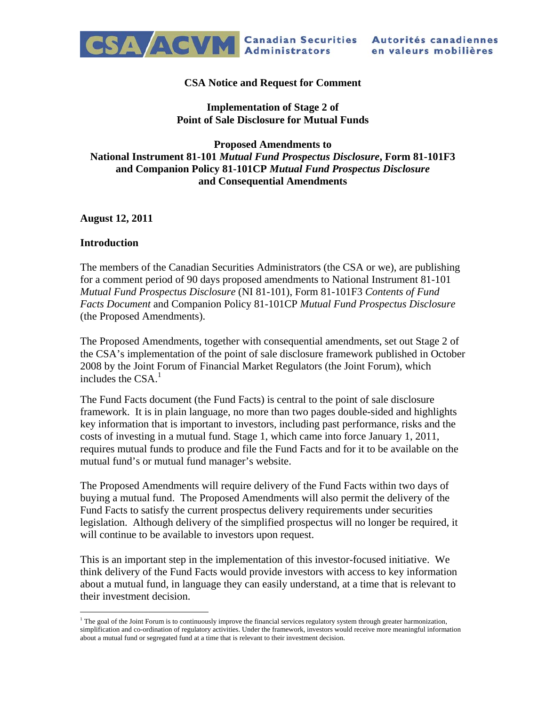

### **CSA Notice and Request for Comment**

# **Implementation of Stage 2 of Point of Sale Disclosure for Mutual Funds**

### **Proposed Amendments to National Instrument 81-101** *Mutual Fund Prospectus Disclosure***, Form 81-101F3 and Companion Policy 81-101CP** *Mutual Fund Prospectus Disclosure*  **and Consequential Amendments**

**August 12, 2011** 

#### **Introduction**

 $\overline{a}$ 

The members of the Canadian Securities Administrators (the CSA or we), are publishing for a comment period of 90 days proposed amendments to National Instrument 81-101 *Mutual Fund Prospectus Disclosure* (NI 81-101), Form 81-101F3 *Contents of Fund Facts Document* and Companion Policy 81-101CP *Mutual Fund Prospectus Disclosure* (the Proposed Amendments).

The Proposed Amendments, together with consequential amendments, set out Stage 2 of the CSA's implementation of the point of sale disclosure framework published in October 2008 by the Joint Forum of Financial Market Regulators (the Joint Forum), which includes the  $CSA<sup>1</sup>$ 

The Fund Facts document (the Fund Facts) is central to the point of sale disclosure framework. It is in plain language, no more than two pages double-sided and highlights key information that is important to investors, including past performance, risks and the costs of investing in a mutual fund. Stage 1, which came into force January 1, 2011, requires mutual funds to produce and file the Fund Facts and for it to be available on the mutual fund's or mutual fund manager's website.

The Proposed Amendments will require delivery of the Fund Facts within two days of buying a mutual fund. The Proposed Amendments will also permit the delivery of the Fund Facts to satisfy the current prospectus delivery requirements under securities legislation. Although delivery of the simplified prospectus will no longer be required, it will continue to be available to investors upon request.

This is an important step in the implementation of this investor-focused initiative. We think delivery of the Fund Facts would provide investors with access to key information about a mutual fund, in language they can easily understand, at a time that is relevant to their investment decision.

<sup>&</sup>lt;sup>1</sup> The goal of the Joint Forum is to continuously improve the financial services regulatory system through greater harmonization, simplification and co-ordination of regulatory activities. Under the framework, investors would receive more meaningful information about a mutual fund or segregated fund at a time that is relevant to their investment decision.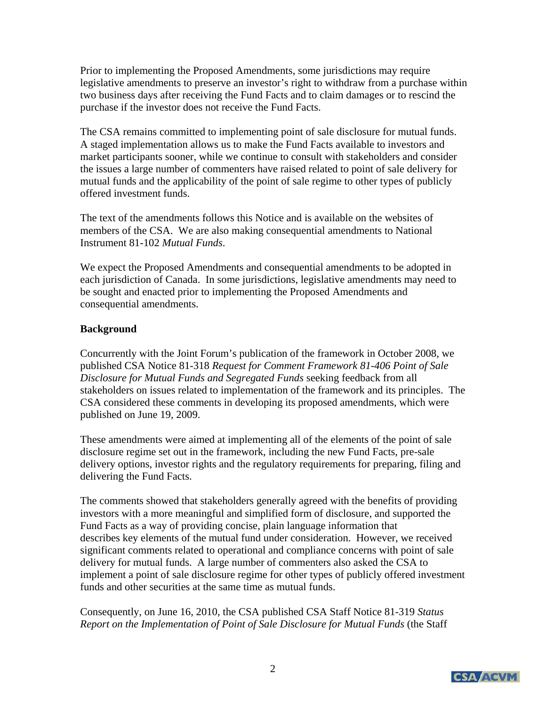Prior to implementing the Proposed Amendments, some jurisdictions may require legislative amendments to preserve an investor's right to withdraw from a purchase within two business days after receiving the Fund Facts and to claim damages or to rescind the purchase if the investor does not receive the Fund Facts.

The CSA remains committed to implementing point of sale disclosure for mutual funds. A staged implementation allows us to make the Fund Facts available to investors and market participants sooner, while we continue to consult with stakeholders and consider the issues a large number of commenters have raised related to point of sale delivery for mutual funds and the applicability of the point of sale regime to other types of publicly offered investment funds.

The text of the amendments follows this Notice and is available on the websites of members of the CSA. We are also making consequential amendments to National Instrument 81-102 *Mutual Funds*.

We expect the Proposed Amendments and consequential amendments to be adopted in each jurisdiction of Canada. In some jurisdictions, legislative amendments may need to be sought and enacted prior to implementing the Proposed Amendments and consequential amendments.

# **Background**

Concurrently with the Joint Forum's publication of the framework in October 2008, we published CSA Notice 81-318 *Request for Comment Framework 81-406 Point of Sale Disclosure for Mutual Funds and Segregated Funds* seeking feedback from all stakeholders on issues related to implementation of the framework and its principles. The CSA considered these comments in developing its proposed amendments, which were published on June 19, 2009.

These amendments were aimed at implementing all of the elements of the point of sale disclosure regime set out in the framework, including the new Fund Facts, pre-sale delivery options, investor rights and the regulatory requirements for preparing, filing and delivering the Fund Facts.

The comments showed that stakeholders generally agreed with the benefits of providing investors with a more meaningful and simplified form of disclosure, and supported the Fund Facts as a way of providing concise, plain language information that describes key elements of the mutual fund under consideration. However, we received significant comments related to operational and compliance concerns with point of sale delivery for mutual funds. A large number of commenters also asked the CSA to implement a point of sale disclosure regime for other types of publicly offered investment funds and other securities at the same time as mutual funds.

Consequently, on June 16, 2010, the CSA published CSA Staff Notice 81-319 *Status Report on the Implementation of Point of Sale Disclosure for Mutual Funds* (the Staff

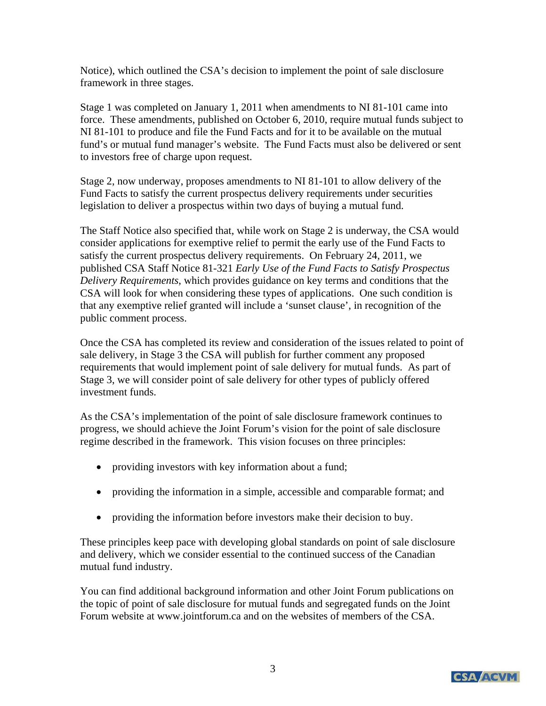Notice), which outlined the CSA's decision to implement the point of sale disclosure framework in three stages.

Stage 1 was completed on January 1, 2011 when amendments to NI 81-101 came into force. These amendments, published on October 6, 2010, require mutual funds subject to NI 81-101 to produce and file the Fund Facts and for it to be available on the mutual fund's or mutual fund manager's website. The Fund Facts must also be delivered or sent to investors free of charge upon request.

Stage 2, now underway, proposes amendments to NI 81-101 to allow delivery of the Fund Facts to satisfy the current prospectus delivery requirements under securities legislation to deliver a prospectus within two days of buying a mutual fund.

The Staff Notice also specified that, while work on Stage 2 is underway, the CSA would consider applications for exemptive relief to permit the early use of the Fund Facts to satisfy the current prospectus delivery requirements. On February 24, 2011, we published CSA Staff Notice 81-321 *Early Use of the Fund Facts to Satisfy Prospectus Delivery Requirements*, which provides guidance on key terms and conditions that the CSA will look for when considering these types of applications. One such condition is that any exemptive relief granted will include a 'sunset clause', in recognition of the public comment process.

Once the CSA has completed its review and consideration of the issues related to point of sale delivery, in Stage 3 the CSA will publish for further comment any proposed requirements that would implement point of sale delivery for mutual funds. As part of Stage 3, we will consider point of sale delivery for other types of publicly offered investment funds.

As the CSA's implementation of the point of sale disclosure framework continues to progress, we should achieve the Joint Forum's vision for the point of sale disclosure regime described in the framework. This vision focuses on three principles:

- providing investors with key information about a fund;
- providing the information in a simple, accessible and comparable format; and
- providing the information before investors make their decision to buy.

These principles keep pace with developing global standards on point of sale disclosure and delivery, which we consider essential to the continued success of the Canadian mutual fund industry.

You can find additional background information and other Joint Forum publications on the topic of point of sale disclosure for mutual funds and segregated funds on the Joint Forum website at www.jointforum.ca and on the websites of members of the CSA.

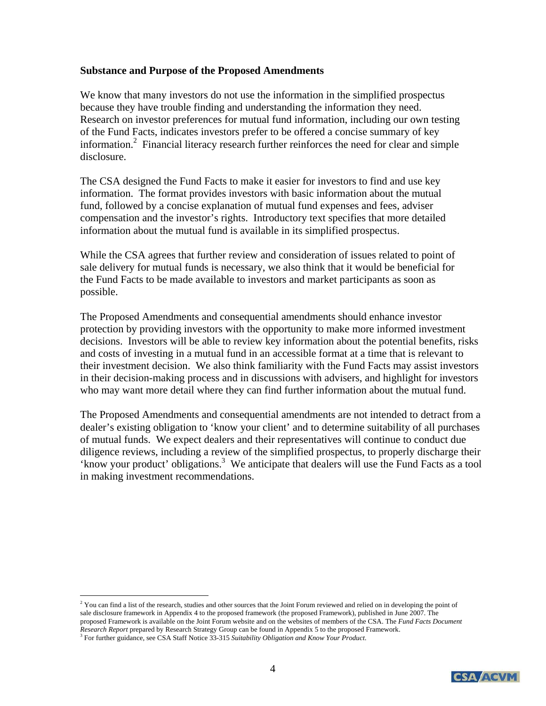### **Substance and Purpose of the Proposed Amendments**

We know that many investors do not use the information in the simplified prospectus because they have trouble finding and understanding the information they need. Research on investor preferences for mutual fund information, including our own testing of the Fund Facts, indicates investors prefer to be offered a concise summary of key information.<sup>2</sup> Financial literacy research further reinforces the need for clear and simple disclosure.

The CSA designed the Fund Facts to make it easier for investors to find and use key information. The format provides investors with basic information about the mutual fund, followed by a concise explanation of mutual fund expenses and fees, adviser compensation and the investor's rights. Introductory text specifies that more detailed information about the mutual fund is available in its simplified prospectus.

While the CSA agrees that further review and consideration of issues related to point of sale delivery for mutual funds is necessary, we also think that it would be beneficial for the Fund Facts to be made available to investors and market participants as soon as possible.

The Proposed Amendments and consequential amendments should enhance investor protection by providing investors with the opportunity to make more informed investment decisions. Investors will be able to review key information about the potential benefits, risks and costs of investing in a mutual fund in an accessible format at a time that is relevant to their investment decision. We also think familiarity with the Fund Facts may assist investors in their decision-making process and in discussions with advisers, and highlight for investors who may want more detail where they can find further information about the mutual fund.

The Proposed Amendments and consequential amendments are not intended to detract from a dealer's existing obligation to 'know your client' and to determine suitability of all purchases of mutual funds. We expect dealers and their representatives will continue to conduct due diligence reviews, including a review of the simplified prospectus, to properly discharge their 'know your product' obligations.<sup>3</sup> We anticipate that dealers will use the Fund Facts as a tool in making investment recommendations.

 $\overline{a}$ 



 $2^2$  You can find a list of the research, studies and other sources that the Joint Forum reviewed and relied on in developing the point of sale disclosure framework in Appendix 4 to the proposed framework (the proposed Framework), published in June 2007. The proposed Framework is available on the Joint Forum website and on the websites of members of the CSA. The *Fund Facts Document Research Report* prepared by Research Strategy Group can be found in Appendix 5 to the proposed Framework. 3

For further guidance, see CSA Staff Notice 33-315 *Suitability Obligation and Know Your Product*.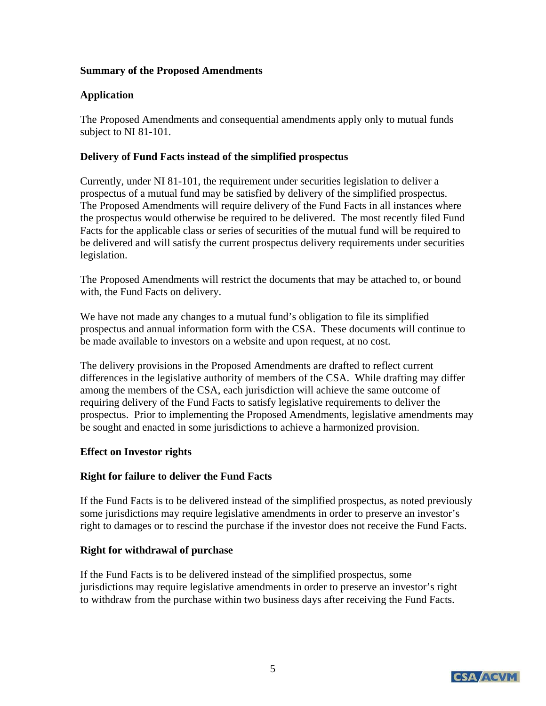# **Summary of the Proposed Amendments**

# **Application**

The Proposed Amendments and consequential amendments apply only to mutual funds subject to NI 81-101.

# **Delivery of Fund Facts instead of the simplified prospectus**

Currently, under NI 81-101, the requirement under securities legislation to deliver a prospectus of a mutual fund may be satisfied by delivery of the simplified prospectus. The Proposed Amendments will require delivery of the Fund Facts in all instances where the prospectus would otherwise be required to be delivered. The most recently filed Fund Facts for the applicable class or series of securities of the mutual fund will be required to be delivered and will satisfy the current prospectus delivery requirements under securities legislation.

The Proposed Amendments will restrict the documents that may be attached to, or bound with, the Fund Facts on delivery.

We have not made any changes to a mutual fund's obligation to file its simplified prospectus and annual information form with the CSA. These documents will continue to be made available to investors on a website and upon request, at no cost.

The delivery provisions in the Proposed Amendments are drafted to reflect current differences in the legislative authority of members of the CSA. While drafting may differ among the members of the CSA, each jurisdiction will achieve the same outcome of requiring delivery of the Fund Facts to satisfy legislative requirements to deliver the prospectus. Prior to implementing the Proposed Amendments, legislative amendments may be sought and enacted in some jurisdictions to achieve a harmonized provision.

# **Effect on Investor rights**

# **Right for failure to deliver the Fund Facts**

If the Fund Facts is to be delivered instead of the simplified prospectus, as noted previously some jurisdictions may require legislative amendments in order to preserve an investor's right to damages or to rescind the purchase if the investor does not receive the Fund Facts.

### **Right for withdrawal of purchase**

If the Fund Facts is to be delivered instead of the simplified prospectus, some jurisdictions may require legislative amendments in order to preserve an investor's right to withdraw from the purchase within two business days after receiving the Fund Facts.

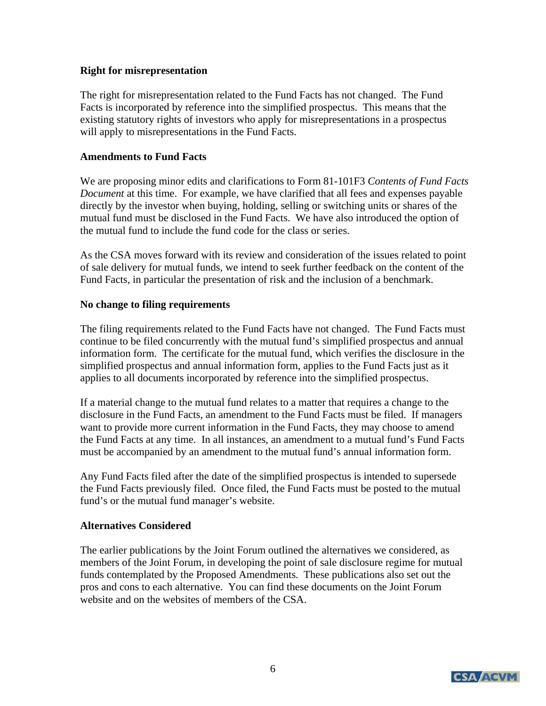### **Right for misrepresentation**

The right for misrepresentation related to the Fund Facts has not changed. The Fund Facts is incorporated by reference into the simplified prospectus. This means that the existing statutory rights of investors who apply for misrepresentations in a prospectus will apply to misrepresentations in the Fund Facts.

## **Amendments to Fund Facts**

We are proposing minor edits and clarifications to Form 81-101F3 *Contents of Fund Facts Document* at this time. For example, we have clarified that all fees and expenses payable directly by the investor when buying, holding, selling or switching units or shares of the mutual fund must be disclosed in the Fund Facts. We have also introduced the option of the mutual fund to include the fund code for the class or series.

As the CSA moves forward with its review and consideration of the issues related to point of sale delivery for mutual funds, we intend to seek further feedback on the content of the Fund Facts, in particular the presentation of risk and the inclusion of a benchmark.

## **No change to filing requirements**

The filing requirements related to the Fund Facts have not changed. The Fund Facts must continue to be filed concurrently with the mutual fund's simplified prospectus and annual information form. The certificate for the mutual fund, which verifies the disclosure in the simplified prospectus and annual information form, applies to the Fund Facts just as it applies to all documents incorporated by reference into the simplified prospectus.

If a material change to the mutual fund relates to a matter that requires a change to the disclosure in the Fund Facts, an amendment to the Fund Facts must be filed. If managers want to provide more current information in the Fund Facts, they may choose to amend the Fund Facts at any time. In all instances, an amendment to a mutual fund's Fund Facts must be accompanied by an amendment to the mutual fund's annual information form.

Any Fund Facts filed after the date of the simplified prospectus is intended to supersede the Fund Facts previously filed. Once filed, the Fund Facts must be posted to the mutual fund's or the mutual fund manager's website.

### **Alternatives Considered**

The earlier publications by the Joint Forum outlined the alternatives we considered, as members of the Joint Forum, in developing the point of sale disclosure regime for mutual funds contemplated by the Proposed Amendments. These publications also set out the pros and cons to each alternative. You can find these documents on the Joint Forum website and on the websites of members of the CSA.

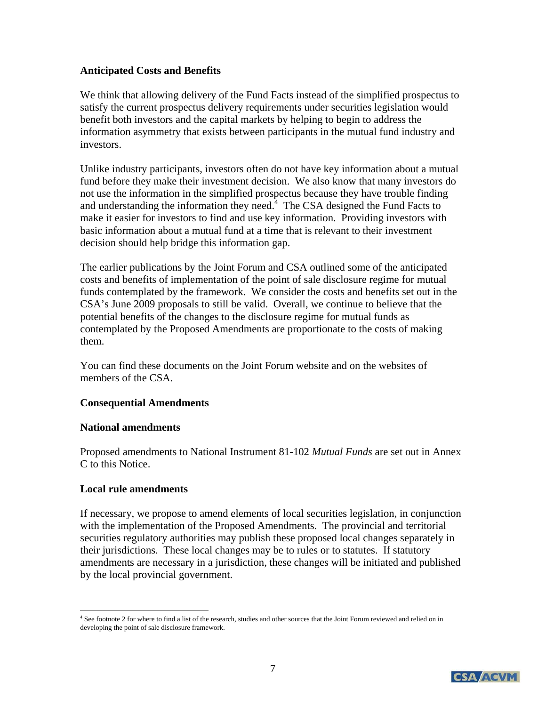# **Anticipated Costs and Benefits**

We think that allowing delivery of the Fund Facts instead of the simplified prospectus to satisfy the current prospectus delivery requirements under securities legislation would benefit both investors and the capital markets by helping to begin to address the information asymmetry that exists between participants in the mutual fund industry and investors.

Unlike industry participants, investors often do not have key information about a mutual fund before they make their investment decision. We also know that many investors do not use the information in the simplified prospectus because they have trouble finding and understanding the information they need. $4$  The CSA designed the Fund Facts to make it easier for investors to find and use key information. Providing investors with basic information about a mutual fund at a time that is relevant to their investment decision should help bridge this information gap.

The earlier publications by the Joint Forum and CSA outlined some of the anticipated costs and benefits of implementation of the point of sale disclosure regime for mutual funds contemplated by the framework. We consider the costs and benefits set out in the CSA's June 2009 proposals to still be valid. Overall, we continue to believe that the potential benefits of the changes to the disclosure regime for mutual funds as contemplated by the Proposed Amendments are proportionate to the costs of making them.

You can find these documents on the Joint Forum website and on the websites of members of the CSA.

### **Consequential Amendments**

### **National amendments**

Proposed amendments to National Instrument 81-102 *Mutual Funds* are set out in Annex C to this Notice.

### **Local rule amendments**

If necessary, we propose to amend elements of local securities legislation, in conjunction with the implementation of the Proposed Amendments. The provincial and territorial securities regulatory authorities may publish these proposed local changes separately in their jurisdictions. These local changes may be to rules or to statutes. If statutory amendments are necessary in a jurisdiction, these changes will be initiated and published by the local provincial government.



 $\overline{a}$ <sup>4</sup> See footnote 2 for where to find a list of the research, studies and other sources that the Joint Forum reviewed and relied on in developing the point of sale disclosure framework.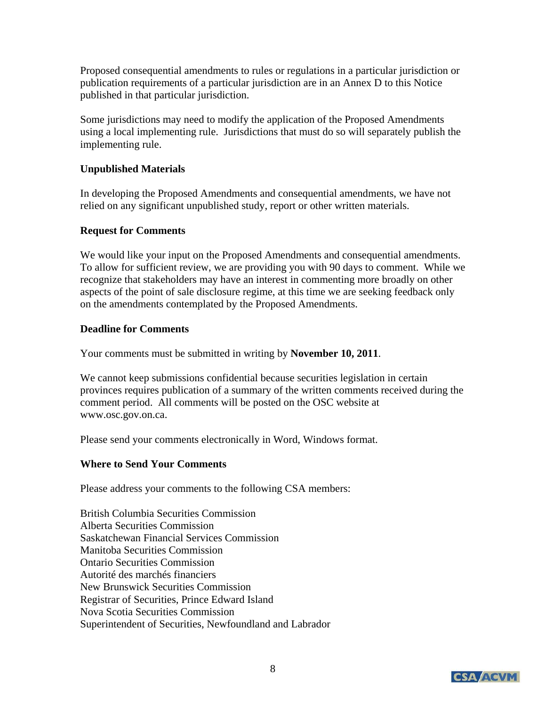Proposed consequential amendments to rules or regulations in a particular jurisdiction or publication requirements of a particular jurisdiction are in an Annex D to this Notice published in that particular jurisdiction.

Some jurisdictions may need to modify the application of the Proposed Amendments using a local implementing rule. Jurisdictions that must do so will separately publish the implementing rule.

# **Unpublished Materials**

In developing the Proposed Amendments and consequential amendments, we have not relied on any significant unpublished study, report or other written materials.

## **Request for Comments**

We would like your input on the Proposed Amendments and consequential amendments. To allow for sufficient review, we are providing you with 90 days to comment. While we recognize that stakeholders may have an interest in commenting more broadly on other aspects of the point of sale disclosure regime, at this time we are seeking feedback only on the amendments contemplated by the Proposed Amendments.

## **Deadline for Comments**

Your comments must be submitted in writing by **November 10, 2011**.

We cannot keep submissions confidential because securities legislation in certain provinces requires publication of a summary of the written comments received during the comment period. All comments will be posted on the OSC website at www.osc.gov.on.ca.

Please send your comments electronically in Word, Windows format.

### **Where to Send Your Comments**

Please address your comments to the following CSA members:

British Columbia Securities Commission Alberta Securities Commission Saskatchewan Financial Services Commission Manitoba Securities Commission Ontario Securities Commission Autorité des marchés financiers New Brunswick Securities Commission Registrar of Securities, Prince Edward Island Nova Scotia Securities Commission Superintendent of Securities, Newfoundland and Labrador

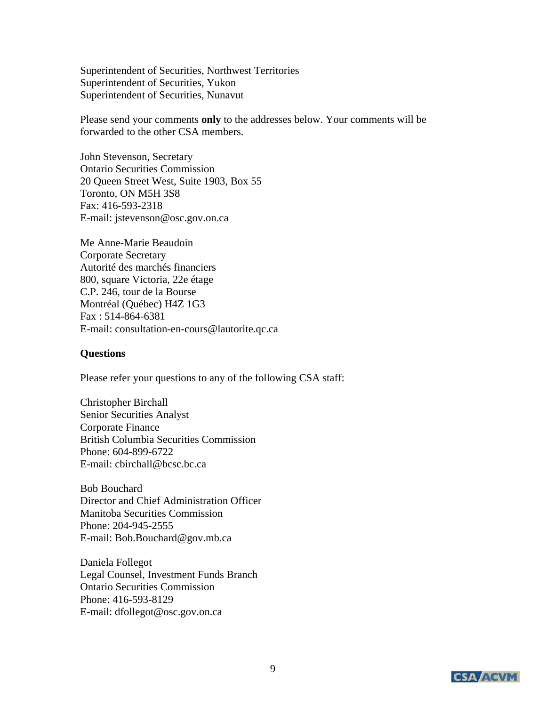Superintendent of Securities, Northwest Territories Superintendent of Securities, Yukon Superintendent of Securities, Nunavut

Please send your comments **only** to the addresses below. Your comments will be forwarded to the other CSA members.

John Stevenson, Secretary Ontario Securities Commission 20 Queen Street West, Suite 1903, Box 55 Toronto, ON M5H 3S8 Fax: 416-593-2318 E-mail: jstevenson@osc.gov.on.ca

Me Anne-Marie Beaudoin Corporate Secretary Autorité des marchés financiers 800, square Victoria, 22e étage C.P. 246, tour de la Bourse Montréal (Québec) H4Z 1G3 Fax : 514-864-6381 E-mail: consultation-en-cours@lautorite.qc.ca

#### **Questions**

Please refer your questions to any of the following CSA staff:

Christopher Birchall Senior Securities Analyst Corporate Finance British Columbia Securities Commission Phone: 604-899-6722 E-mail: cbirchall@bcsc.bc.ca

Bob Bouchard Director and Chief Administration Officer Manitoba Securities Commission Phone: 204-945-2555 E-mail: Bob.Bouchard@gov.mb.ca

Daniela Follegot Legal Counsel, Investment Funds Branch Ontario Securities Commission Phone: 416-593-8129 E-mail: dfollegot@osc.gov.on.ca